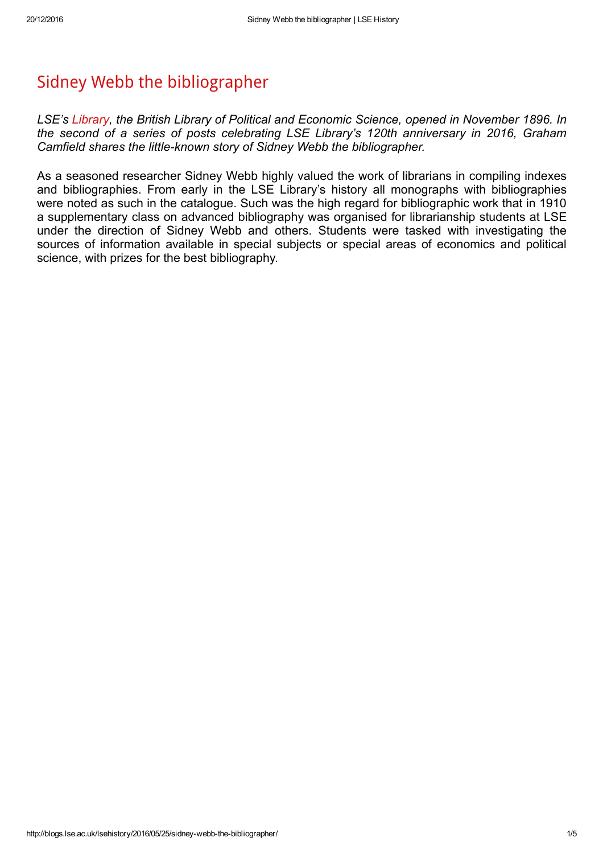## Sidney Webb the [bibliographer](http://blogs.lse.ac.uk/lsehistory/2016/05/25/sidney-webb-the-bibliographer/)

LSE's [Library,](http://blogs.lse.ac.uk/lsehistory/library/) the British Library of Political and Economic Science, opened in November 1896. In the second of a series of posts celebrating LSE Library's 120th anniversary in 2016, Graham Camfield shares the little-known story of Sidney Webb the bibliographer.

As a seasoned researcher Sidney Webb highly valued the work of librarians in compiling indexes and bibliographies. From early in the LSE Library's history all monographs with bibliographies were noted as such in the catalogue. Such was the high regard for bibliographic work that in 1910 a supplementary class on advanced bibliography was organised for librarianship students at LSE under the direction of Sidney Webb and others. Students were tasked with investigating the sources of information available in special subjects or special areas of economics and political science, with prizes for the best bibliography.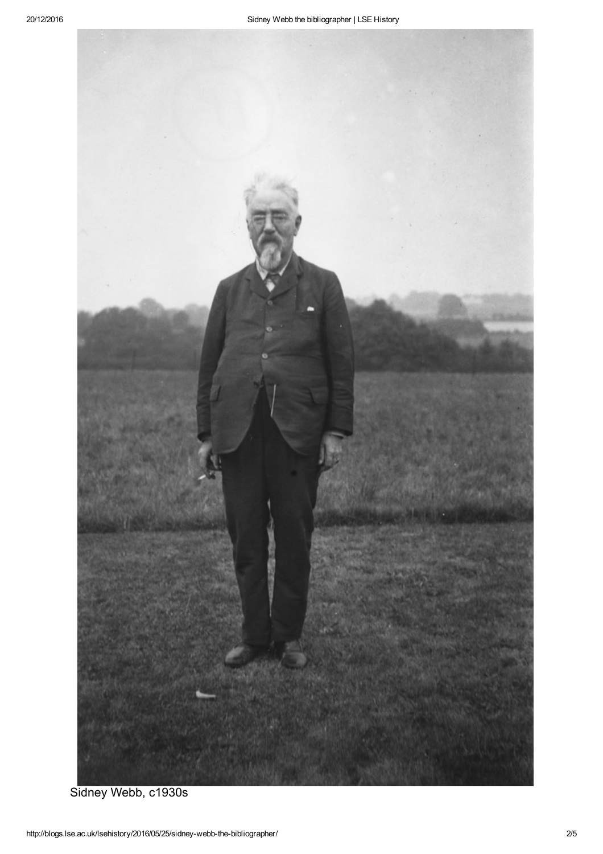

Sidney Webb, c1930s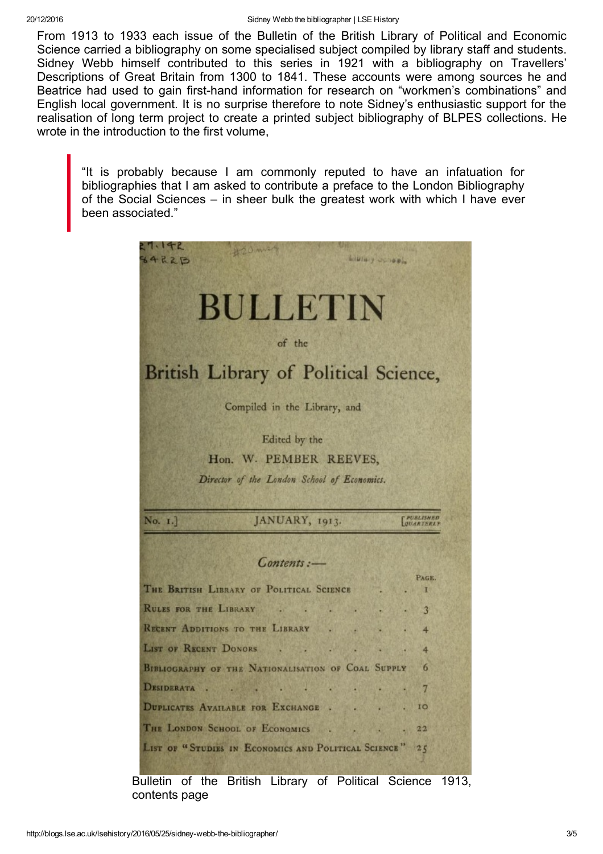From 1913 to 1933 each issue of the Bulletin of the British Library of Political and Economic Science carried a bibliography on some specialised subject compiled by library staff and students. Sidney Webb himself contributed to this series in 1921 with a bibliography on Travellers' Descriptions of Great Britain from 1300 to 1841. These accounts were among sources he and Beatrice had used to gain first-hand information for research on "workmen's combinations" and English local government. It is no surprise therefore to note Sidney's enthusiastic support for the realisation of long term project to create a printed subject bibliography of BLPES collections. He wrote in the introduction to the first volume,

"It is probably because I am commonly reputed to have an infatuation for bibliographies that I am asked to contribute a preface to the London Bibliography of the Social Sciences – in sheer bulk the greatest work with which I have ever been associated."



Bulletin of the British Library of Political Science 1913, contents page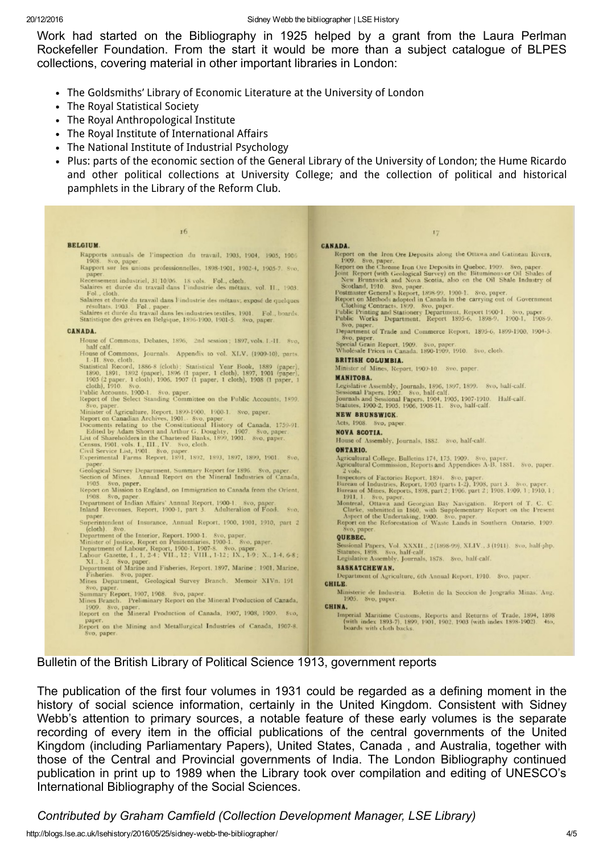Work had started on the Bibliography in 1925 helped by a grant from the Laura Perlman Rockefeller Foundation. From the start it would be more than a subject catalogue of BLPES collections, covering material in other important libraries in London:

- The Goldsmiths' Library of Economic Literature at the University of London
- The Royal Statistical Society
- The Royal Anthropological Institute
- The Royal Institute of International Affairs
- The National Institute of Industrial Psychology
- Plus: parts of the economic section of the General Library of the University of London; the Hume Ricardo and other political collections at University College; and the collection of political and historical pamphlets in the Library of the Reform Club.

Bulletin of the British Library of Political Science 1913, government reports

The publication of the first four volumes in 1931 could be regarded as a defining moment in the history of social science information, certainly in the United Kingdom. Consistent with Sidney Webb's attention to primary sources, a notable feature of these early volumes is the separate recording of every item in the official publications of the central governments of the United Kingdom (including Parliamentary Papers), United States, Canada , and Australia, together with those of the Central and Provincial governments of India. The London Bibliography continued publication in print up to 1989 when the Library took over compilation and editing of UNESCO's International Bibliography of the Social Sciences.

Contributed by Graham Camfield (Collection Development Manager, LSE Library)